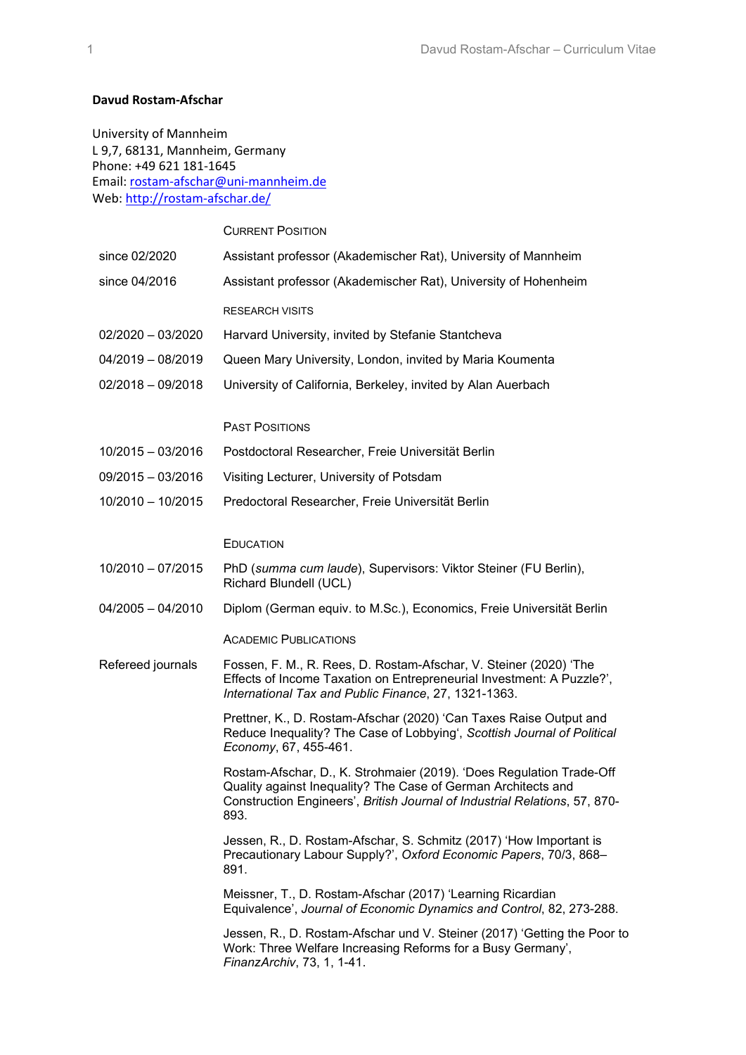## **Davud Rostam-Afschar**

University of Mannheim L 9,7, 68131, Mannheim, Germany Phone: +49 621 181-1645 Email[: rostam-afschar@uni-mannheim.de](mailto:rostam-afschar@uni-mannheim.de) Web:<http://rostam-afschar.de/>

|                     | <b>CURRENT POSITION</b>                                                                                                                                                                                                     |
|---------------------|-----------------------------------------------------------------------------------------------------------------------------------------------------------------------------------------------------------------------------|
| since 02/2020       | Assistant professor (Akademischer Rat), University of Mannheim                                                                                                                                                              |
| since 04/2016       | Assistant professor (Akademischer Rat), University of Hohenheim                                                                                                                                                             |
|                     | <b>RESEARCH VISITS</b>                                                                                                                                                                                                      |
| $02/2020 - 03/2020$ | Harvard University, invited by Stefanie Stantcheva                                                                                                                                                                          |
| $04/2019 - 08/2019$ | Queen Mary University, London, invited by Maria Koumenta                                                                                                                                                                    |
| $02/2018 - 09/2018$ | University of California, Berkeley, invited by Alan Auerbach                                                                                                                                                                |
|                     |                                                                                                                                                                                                                             |
|                     | <b>PAST POSITIONS</b>                                                                                                                                                                                                       |
| $10/2015 - 03/2016$ | Postdoctoral Researcher, Freie Universität Berlin                                                                                                                                                                           |
| $09/2015 - 03/2016$ | Visiting Lecturer, University of Potsdam                                                                                                                                                                                    |
| $10/2010 - 10/2015$ | Predoctoral Researcher, Freie Universität Berlin                                                                                                                                                                            |
|                     |                                                                                                                                                                                                                             |
|                     | <b>EDUCATION</b>                                                                                                                                                                                                            |
| $10/2010 - 07/2015$ | PhD (summa cum laude), Supervisors: Viktor Steiner (FU Berlin),<br>Richard Blundell (UCL)                                                                                                                                   |
| $04/2005 - 04/2010$ | Diplom (German equiv. to M.Sc.), Economics, Freie Universität Berlin                                                                                                                                                        |
|                     | <b>ACADEMIC PUBLICATIONS</b>                                                                                                                                                                                                |
| Refereed journals   | Fossen, F. M., R. Rees, D. Rostam-Afschar, V. Steiner (2020) 'The<br>Effects of Income Taxation on Entrepreneurial Investment: A Puzzle?',<br>International Tax and Public Finance, 27, 1321-1363.                          |
|                     | Prettner, K., D. Rostam-Afschar (2020) 'Can Taxes Raise Output and<br>Reduce Inequality? The Case of Lobbying', Scottish Journal of Political<br>Economy, 67, 455-461.                                                      |
|                     | Rostam-Afschar, D., K. Strohmaier (2019). 'Does Regulation Trade-Off<br>Quality against Inequality? The Case of German Architects and<br>Construction Engineers', British Journal of Industrial Relations, 57, 870-<br>893. |
|                     | Jessen, R., D. Rostam-Afschar, S. Schmitz (2017) 'How Important is<br>Precautionary Labour Supply?', Oxford Economic Papers, 70/3, 868-<br>891.                                                                             |
|                     | Meissner, T., D. Rostam-Afschar (2017) 'Learning Ricardian<br>Equivalence', Journal of Economic Dynamics and Control, 82, 273-288.                                                                                          |
|                     | Jessen, R., D. Rostam-Afschar und V. Steiner (2017) 'Getting the Poor to<br>Work: Three Welfare Increasing Reforms for a Busy Germany',<br>FinanzArchiv, 73, 1, 1-41.                                                       |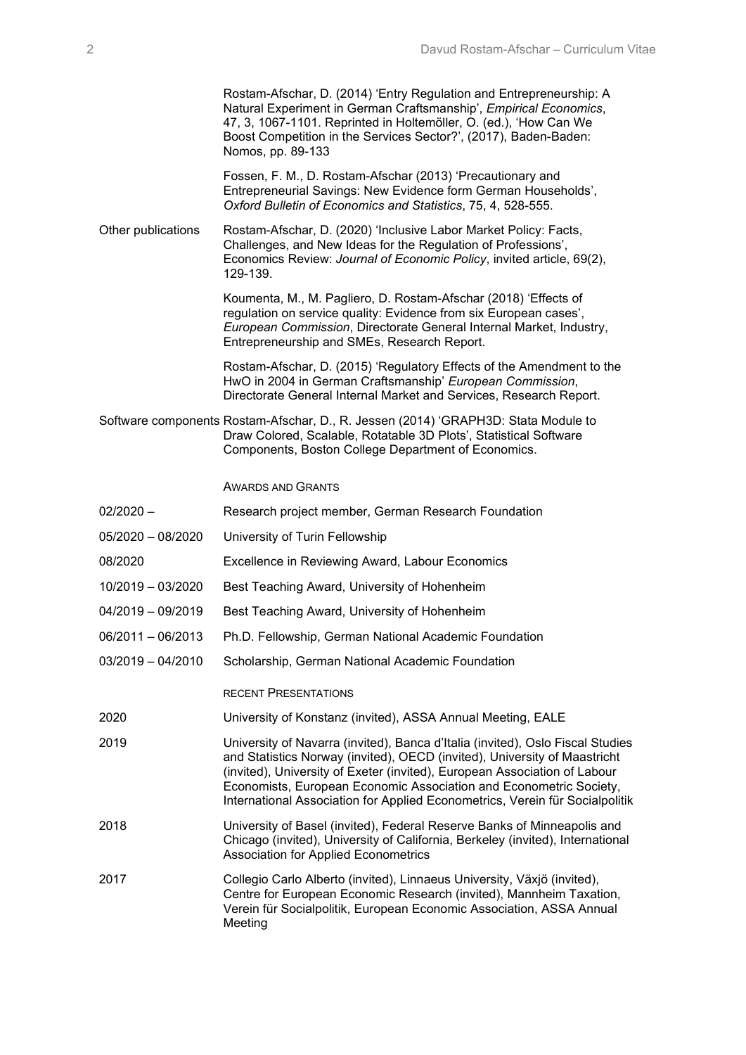|                     | Rostam-Afschar, D. (2014) 'Entry Regulation and Entrepreneurship: A<br>Natural Experiment in German Craftsmanship', Empirical Economics,<br>47, 3, 1067-1101. Reprinted in Holtemöller, O. (ed.), 'How Can We<br>Boost Competition in the Services Sector?', (2017), Baden-Baden:<br>Nomos, pp. 89-133                                                                                         |
|---------------------|------------------------------------------------------------------------------------------------------------------------------------------------------------------------------------------------------------------------------------------------------------------------------------------------------------------------------------------------------------------------------------------------|
|                     | Fossen, F. M., D. Rostam-Afschar (2013) 'Precautionary and<br>Entrepreneurial Savings: New Evidence form German Households',<br>Oxford Bulletin of Economics and Statistics, 75, 4, 528-555.                                                                                                                                                                                                   |
| Other publications  | Rostam-Afschar, D. (2020) 'Inclusive Labor Market Policy: Facts,<br>Challenges, and New Ideas for the Regulation of Professions',<br>Economics Review: Journal of Economic Policy, invited article, 69(2),<br>129-139.                                                                                                                                                                         |
|                     | Koumenta, M., M. Pagliero, D. Rostam-Afschar (2018) 'Effects of<br>regulation on service quality: Evidence from six European cases',<br>European Commission, Directorate General Internal Market, Industry,<br>Entrepreneurship and SMEs, Research Report.                                                                                                                                     |
|                     | Rostam-Afschar, D. (2015) 'Regulatory Effects of the Amendment to the<br>HwO in 2004 in German Craftsmanship' European Commission,<br>Directorate General Internal Market and Services, Research Report.                                                                                                                                                                                       |
|                     | Software components Rostam-Afschar, D., R. Jessen (2014) 'GRAPH3D: Stata Module to<br>Draw Colored, Scalable, Rotatable 3D Plots', Statistical Software<br>Components, Boston College Department of Economics.                                                                                                                                                                                 |
|                     | <b>AWARDS AND GRANTS</b>                                                                                                                                                                                                                                                                                                                                                                       |
| $02/2020 -$         | Research project member, German Research Foundation                                                                                                                                                                                                                                                                                                                                            |
| $05/2020 - 08/2020$ | University of Turin Fellowship                                                                                                                                                                                                                                                                                                                                                                 |
| 08/2020             | Excellence in Reviewing Award, Labour Economics                                                                                                                                                                                                                                                                                                                                                |
| $10/2019 - 03/2020$ | Best Teaching Award, University of Hohenheim                                                                                                                                                                                                                                                                                                                                                   |
| $04/2019 - 09/2019$ | Best Teaching Award, University of Hohenheim                                                                                                                                                                                                                                                                                                                                                   |
| $06/2011 - 06/2013$ | Ph.D. Fellowship, German National Academic Foundation                                                                                                                                                                                                                                                                                                                                          |
| $03/2019 - 04/2010$ | Scholarship, German National Academic Foundation                                                                                                                                                                                                                                                                                                                                               |
|                     | <b>RECENT PRESENTATIONS</b>                                                                                                                                                                                                                                                                                                                                                                    |
| 2020                | University of Konstanz (invited), ASSA Annual Meeting, EALE                                                                                                                                                                                                                                                                                                                                    |
| 2019                | University of Navarra (invited), Banca d'Italia (invited), Oslo Fiscal Studies<br>and Statistics Norway (invited), OECD (invited), University of Maastricht<br>(invited), University of Exeter (invited), European Association of Labour<br>Economists, European Economic Association and Econometric Society,<br>International Association for Applied Econometrics, Verein für Socialpolitik |
| 2018                | University of Basel (invited), Federal Reserve Banks of Minneapolis and<br>Chicago (invited), University of California, Berkeley (invited), International<br><b>Association for Applied Econometrics</b>                                                                                                                                                                                       |
| 2017                | Collegio Carlo Alberto (invited), Linnaeus University, Växjö (invited),<br>Centre for European Economic Research (invited), Mannheim Taxation,<br>Verein für Socialpolitik, European Economic Association, ASSA Annual<br>Meeting                                                                                                                                                              |